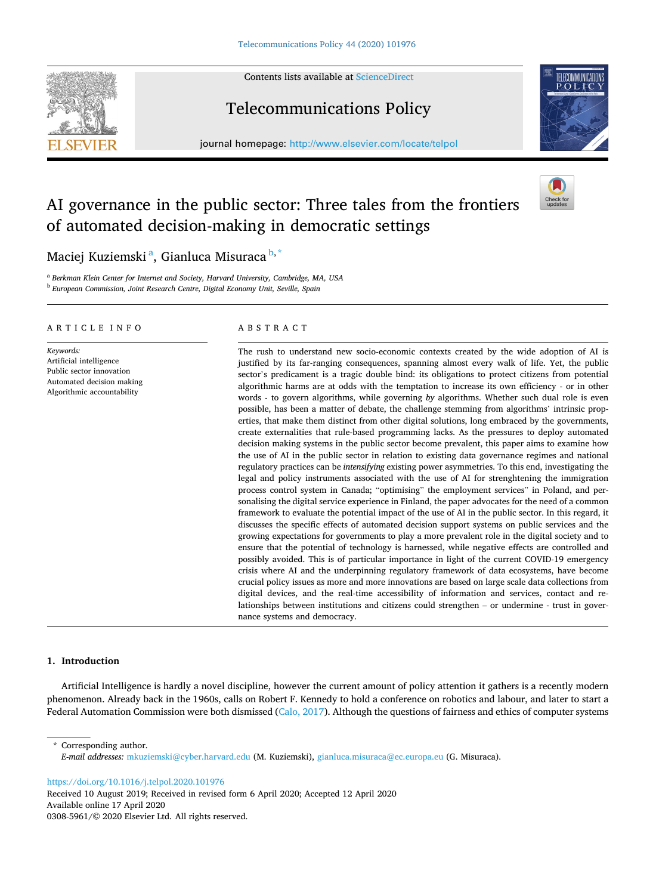Contents lists available at [ScienceDirect](www.sciencedirect.com/science/journal/03085961)





journal homepage: [http://www.elsevier.com/locate/telpol](https://http://www.elsevier.com/locate/telpol)



# AI governance in the public sector: Three tales from the frontiers of automated decision-making in democratic settings



Maciej Kuziemski<sup>a</sup>, Gianluca Misuraca <sup>b,\*</sup>

<sup>a</sup> *Berkman Klein Center for Internet and Society, Harvard University, Cambridge, MA, USA* 

<sup>b</sup> *European Commission, Joint Research Centre, Digital Economy Unit, Seville, Spain* 

# ARTICLE INFO

*Keywords:*  Artificial intelligence Public sector innovation Automated decision making Algorithmic accountability

## ABSTRACT

The rush to understand new socio-economic contexts created by the wide adoption of AI is justified by its far-ranging consequences, spanning almost every walk of life. Yet, the public sector's predicament is a tragic double bind: its obligations to protect citizens from potential algorithmic harms are at odds with the temptation to increase its own efficiency - or in other words - to govern algorithms, while governing *by* algorithms. Whether such dual role is even possible, has been a matter of debate, the challenge stemming from algorithms' intrinsic properties, that make them distinct from other digital solutions, long embraced by the governments, create externalities that rule-based programming lacks. As the pressures to deploy automated decision making systems in the public sector become prevalent, this paper aims to examine how the use of AI in the public sector in relation to existing data governance regimes and national regulatory practices can be *intensifying* existing power asymmetries. To this end, investigating the legal and policy instruments associated with the use of AI for strenghtening the immigration process control system in Canada; "optimising" the employment services" in Poland, and personalising the digital service experience in Finland, the paper advocates for the need of a common framework to evaluate the potential impact of the use of AI in the public sector. In this regard, it discusses the specific effects of automated decision support systems on public services and the growing expectations for governments to play a more prevalent role in the digital society and to ensure that the potential of technology is harnessed, while negative effects are controlled and possibly avoided. This is of particular importance in light of the current COVID-19 emergency crisis where AI and the underpinning regulatory framework of data ecosystems, have become crucial policy issues as more and more innovations are based on large scale data collections from digital devices, and the real-time accessibility of information and services, contact and relationships between institutions and citizens could strengthen – or undermine - trust in governance systems and democracy.

# **1. Introduction**

Artificial Intelligence is hardly a novel discipline, however the current amount of policy attention it gathers is a recently modern phenomenon. Already back in the 1960s, calls on Robert F. Kennedy to hold a conference on robotics and labour, and later to start a Federal Automation Commission were both dismissed [\(Calo, 2017](#page-11-0)). Although the questions of fairness and ethics of computer systems

Corresponding author. *E-mail addresses:* [mkuziemski@cyber.harvard.edu](mailto:mkuziemski@cyber.harvard.edu) (M. Kuziemski), [gianluca.misuraca@ec.europa.eu](mailto:gianluca.misuraca@ec.europa.eu) (G. Misuraca).

<https://doi.org/10.1016/j.telpol.2020.101976>

Available online 17 April 2020 0308-5961/© 2020 Elsevier Ltd. All rights reserved. Received 10 August 2019; Received in revised form 6 April 2020; Accepted 12 April 2020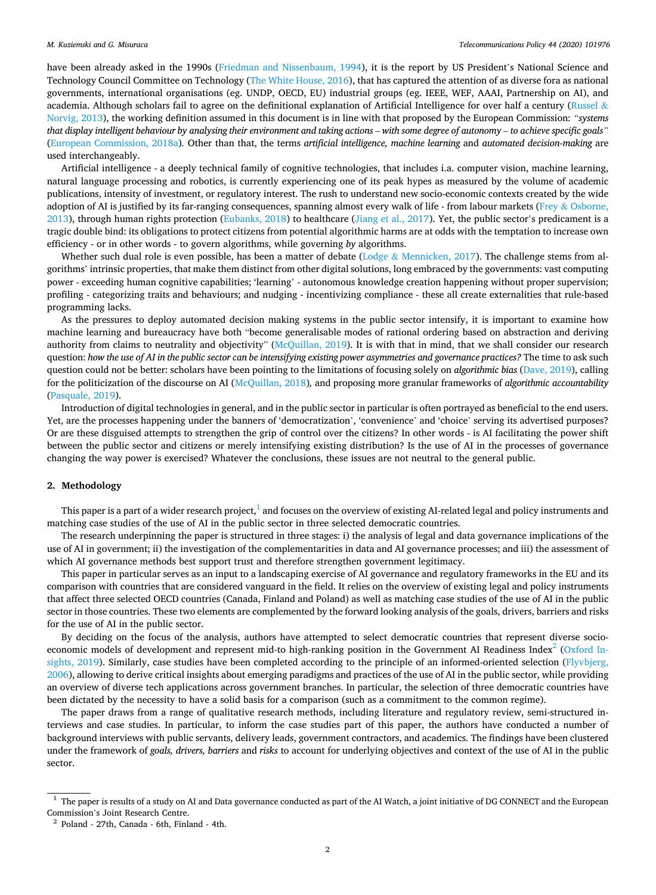have been already asked in the 1990s ([Friedman and Nissenbaum, 1994](#page-11-0)), it is the report by US President's National Science and Technology Council Committee on Technology ([The White House, 2016\)](#page-12-0), that has captured the attention of as diverse fora as national governments, international organisations (eg. UNDP, OECD, EU) industrial groups (eg. IEEE, WEF, AAAI, Partnership on AI), and academia. Although scholars fail to agree on the definitional explanation of Artificial Intelligence for over half a century [\(Russel](#page-12-0)  $\&$ [Norvig, 2013](#page-12-0)), the working definition assumed in this document is in line with that proposed by the European Commission: *"systems that display intelligent behaviour by analysing their environment and taking actions – with some degree of autonomy – to achieve specific goals* [\(European Commission, 2018a](#page-11-0))*.* Other than that, the terms *artificial intelligence, machine learning* and *automated decision-making* are used interchangeably.

Artificial intelligence - a deeply technical family of cognitive technologies, that includes i.a. computer vision, machine learning, natural language processing and robotics, is currently experiencing one of its peak hypes as measured by the volume of academic publications, intensity of investment, or regulatory interest. The rush to understand new socio-economic contexts created by the wide adoption of AI is justified by its far-ranging consequences, spanning almost every walk of life - from labour markets (Frey & [Osborne,](#page-11-0) [2013\)](#page-11-0), through human rights protection ([Eubanks, 2018\)](#page-11-0) to healthcare ([Jiang et al., 2017](#page-11-0)). Yet, the public sector's predicament is a tragic double bind: its obligations to protect citizens from potential algorithmic harms are at odds with the temptation to increase own efficiency - or in other words - to govern algorithms, while governing *by* algorithms.

Whether such dual role is even possible, has been a matter of debate (Lodge & [Mennicken, 2017](#page-11-0)). The challenge stems from algorithms' intrinsic properties, that make them distinct from other digital solutions, long embraced by the governments: vast computing power - exceeding human cognitive capabilities; 'learning' - autonomous knowledge creation happening without proper supervision; profiling - categorizing traits and behaviours; and nudging - incentivizing compliance - these all create externalities that rule-based programming lacks.

As the pressures to deploy automated decision making systems in the public sector intensify, it is important to examine how machine learning and bureaucracy have both "become generalisable modes of rational ordering based on abstraction and deriving authority from claims to neutrality and objectivity" [\(McQuillan, 2019\)](#page-11-0). It is with that in mind, that we shall consider our research question: *how the use of AI in the public sector can be intensifying existing power asymmetries and governance practices?* The time to ask such question could not be better: scholars have been pointing to the limitations of focusing solely on *algorithmic bias* [\(Dave, 2019](#page-11-0)), calling for the politicization of the discourse on AI ([McQuillan, 2018](#page-11-0))*,* and proposing more granular frameworks of *algorithmic accountability*  [\(Pasquale, 2019\)](#page-11-0).

Introduction of digital technologies in general, and in the public sector in particular is often portrayed as beneficial to the end users. Yet, are the processes happening under the banners of 'democratization', 'convenience' and 'choice' serving its advertised purposes? Or are these disguised attempts to strengthen the grip of control over the citizens? In other words - is AI facilitating the power shift between the public sector and citizens or merely intensifying existing distribution? Is the use of AI in the processes of governance changing the way power is exercised? Whatever the conclusions, these issues are not neutral to the general public.

## **2. Methodology**

This paper is a part of a wider research project,<sup>1</sup> and focuses on the overview of existing AI-related legal and policy instruments and matching case studies of the use of AI in the public sector in three selected democratic countries.

The research underpinning the paper is structured in three stages: i) the analysis of legal and data governance implications of the use of AI in government; ii) the investigation of the complementarities in data and AI governance processes; and iii) the assessment of which AI governance methods best support trust and therefore strengthen government legitimacy.

This paper in particular serves as an input to a landscaping exercise of AI governance and regulatory frameworks in the EU and its comparison with countries that are considered vanguard in the field. It relies on the overview of existing legal and policy instruments that affect three selected OECD countries (Canada, Finland and Poland) as well as matching case studies of the use of AI in the public sector in those countries. These two elements are complemented by the forward looking analysis of the goals, drivers, barriers and risks for the use of AI in the public sector.

By deciding on the focus of the analysis, authors have attempted to select democratic countries that represent diverse socioeconomic models of development and represent mid-to high-ranking position in the Government AI Readiness Index $^2$  [\(Oxford In](#page-11-0)[sights, 2019](#page-11-0)). Similarly, case studies have been completed according to the principle of an informed-oriented selection ([Flyvbjerg,](#page-11-0) [2006\)](#page-11-0), allowing to derive critical insights about emerging paradigms and practices of the use of AI in the public sector, while providing an overview of diverse tech applications across government branches. In particular, the selection of three democratic countries have been dictated by the necessity to have a solid basis for a comparison (such as a commitment to the common regime).

The paper draws from a range of qualitative research methods, including literature and regulatory review, semi-structured interviews and case studies. In particular, to inform the case studies part of this paper, the authors have conducted a number of background interviews with public servants, delivery leads, government contractors, and academics. The findings have been clustered under the framework of *goals, drivers, barriers* and *risks* to account for underlying objectives and context of the use of AI in the public sector.

<sup>1</sup> The paper is results of a study on AI and Data governance conducted as part of the AI Watch, a joint initiative of DG CONNECT and the European Commission's Joint Research Centre. 2 Poland - 27th, Canada - 6th, Finland - 4th.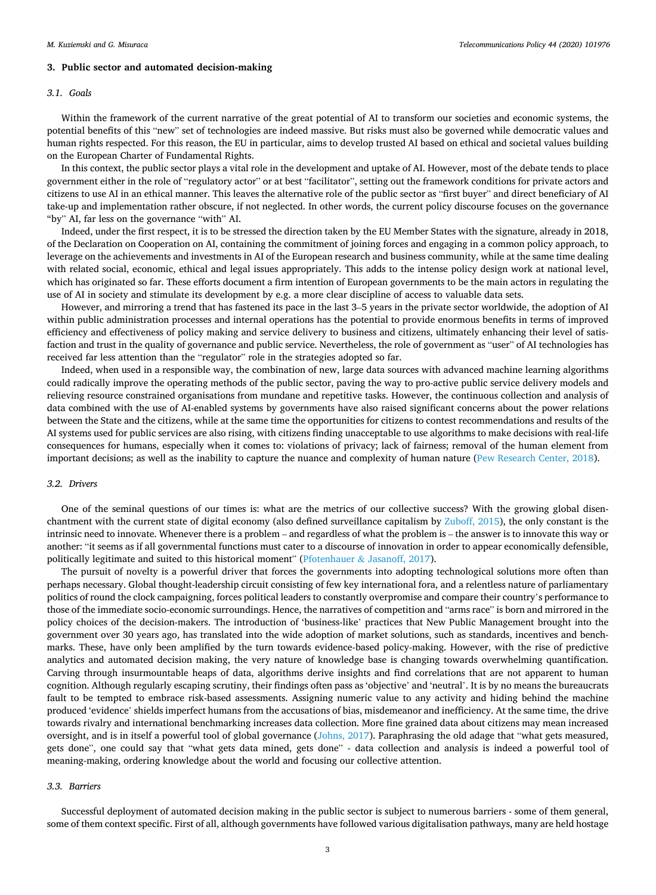#### **3. Public sector and automated decision-making**

### *3.1. Goals*

Within the framework of the current narrative of the great potential of AI to transform our societies and economic systems, the potential benefits of this "new" set of technologies are indeed massive. But risks must also be governed while democratic values and human rights respected. For this reason, the EU in particular, aims to develop trusted AI based on ethical and societal values building on the European Charter of Fundamental Rights.

In this context, the public sector plays a vital role in the development and uptake of AI. However, most of the debate tends to place government either in the role of "regulatory actor" or at best "facilitator", setting out the framework conditions for private actors and citizens to use AI in an ethical manner. This leaves the alternative role of the public sector as "first buyer" and direct beneficiary of AI take-up and implementation rather obscure, if not neglected. In other words, the current policy discourse focuses on the governance "by" AI, far less on the governance "with" AI.

Indeed, under the first respect, it is to be stressed the direction taken by the EU Member States with the signature, already in 2018, of the Declaration on Cooperation on AI, containing the commitment of joining forces and engaging in a common policy approach, to leverage on the achievements and investments in AI of the European research and business community, while at the same time dealing with related social, economic, ethical and legal issues appropriately. This adds to the intense policy design work at national level, which has originated so far. These efforts document a firm intention of European governments to be the main actors in regulating the use of AI in society and stimulate its development by e.g. a more clear discipline of access to valuable data sets.

However, and mirroring a trend that has fastened its pace in the last 3–5 years in the private sector worldwide, the adoption of AI within public administration processes and internal operations has the potential to provide enormous benefits in terms of improved efficiency and effectiveness of policy making and service delivery to business and citizens, ultimately enhancing their level of satisfaction and trust in the quality of governance and public service. Nevertheless, the role of government as "user" of AI technologies has received far less attention than the "regulator" role in the strategies adopted so far.

Indeed, when used in a responsible way, the combination of new, large data sources with advanced machine learning algorithms could radically improve the operating methods of the public sector, paving the way to pro-active public service delivery models and relieving resource constrained organisations from mundane and repetitive tasks. However, the continuous collection and analysis of data combined with the use of AI-enabled systems by governments have also raised significant concerns about the power relations between the State and the citizens, while at the same time the opportunities for citizens to contest recommendations and results of the AI systems used for public services are also rising, with citizens finding unacceptable to use algorithms to make decisions with real-life consequences for humans, especially when it comes to: violations of privacy; lack of fairness; removal of the human element from important decisions; as well as the inability to capture the nuance and complexity of human nature [\(Pew Research Center, 2018\)](#page-11-0).

### *3.2. Drivers*

One of the seminal questions of our times is: what are the metrics of our collective success? With the growing global disenchantment with the current state of digital economy (also defined surveillance capitalism by [Zuboff, 2015\)](#page-12-0), the only constant is the intrinsic need to innovate. Whenever there is a problem – and regardless of what the problem is – the answer is to innovate this way or another: "it seems as if all governmental functions must cater to a discourse of innovation in order to appear economically defensible, politically legitimate and suited to this historical moment" (Pfotenhauer & [Jasanoff, 2017](#page-11-0)).

The pursuit of novelty is a powerful driver that forces the governments into adopting technological solutions more often than perhaps necessary. Global thought-leadership circuit consisting of few key international fora, and a relentless nature of parliamentary politics of round the clock campaigning, forces political leaders to constantly overpromise and compare their country's performance to those of the immediate socio-economic surroundings. Hence, the narratives of competition and "arms race" is born and mirrored in the policy choices of the decision-makers. The introduction of 'business-like' practices that New Public Management brought into the government over 30 years ago, has translated into the wide adoption of market solutions, such as standards, incentives and benchmarks. These, have only been amplified by the turn towards evidence-based policy-making. However, with the rise of predictive analytics and automated decision making, the very nature of knowledge base is changing towards overwhelming quantification. Carving through insurmountable heaps of data, algorithms derive insights and find correlations that are not apparent to human cognition. Although regularly escaping scrutiny, their findings often pass as 'objective' and 'neutral'. It is by no means the bureaucrats fault to be tempted to embrace risk-based assessments. Assigning numeric value to any activity and hiding behind the machine produced 'evidence' shields imperfect humans from the accusations of bias, misdemeanor and inefficiency. At the same time, the drive towards rivalry and international benchmarking increases data collection. More fine grained data about citizens may mean increased oversight, and is in itself a powerful tool of global governance ([Johns, 2017\)](#page-11-0). Paraphrasing the old adage that "what gets measured, gets done", one could say that "what gets data mined, gets done" - data collection and analysis is indeed a powerful tool of meaning-making, ordering knowledge about the world and focusing our collective attention.

#### *3.3. Barriers*

Successful deployment of automated decision making in the public sector is subject to numerous barriers - some of them general, some of them context specific. First of all, although governments have followed various digitalisation pathways, many are held hostage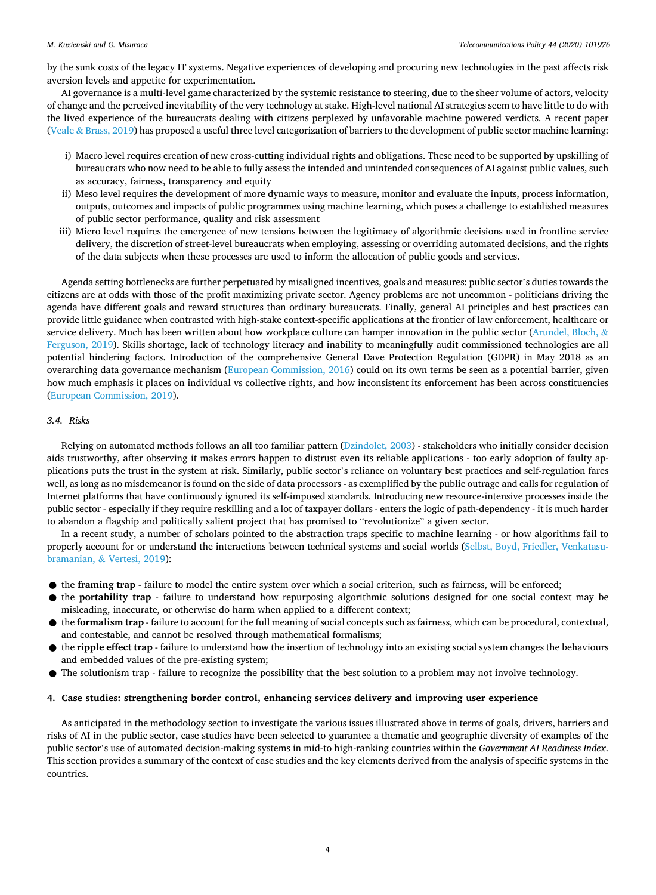#### *M. Kuziemski and G. Misuraca*

by the sunk costs of the legacy IT systems. Negative experiences of developing and procuring new technologies in the past affects risk aversion levels and appetite for experimentation.

AI governance is a multi-level game characterized by the systemic resistance to steering, due to the sheer volume of actors, velocity of change and the perceived inevitability of the very technology at stake. High-level national AI strategies seem to have little to do with the lived experience of the bureaucrats dealing with citizens perplexed by unfavorable machine powered verdicts. A recent paper (Veale & [Brass, 2019](#page-12-0)) has proposed a useful three level categorization of barriers to the development of public sector machine learning:

- i) Macro level requires creation of new cross-cutting individual rights and obligations. These need to be supported by upskilling of bureaucrats who now need to be able to fully assess the intended and unintended consequences of AI against public values, such as accuracy, fairness, transparency and equity
- ii) Meso level requires the development of more dynamic ways to measure, monitor and evaluate the inputs, process information, outputs, outcomes and impacts of public programmes using machine learning, which poses a challenge to established measures of public sector performance, quality and risk assessment
- iii) Micro level requires the emergence of new tensions between the legitimacy of algorithmic decisions used in frontline service delivery, the discretion of street-level bureaucrats when employing, assessing or overriding automated decisions, and the rights of the data subjects when these processes are used to inform the allocation of public goods and services.

Agenda setting bottlenecks are further perpetuated by misaligned incentives, goals and measures: public sector's duties towards the citizens are at odds with those of the profit maximizing private sector. Agency problems are not uncommon - politicians driving the agenda have different goals and reward structures than ordinary bureaucrats. Finally, general AI principles and best practices can provide little guidance when contrasted with high-stake context-specific applications at the frontier of law enforcement, healthcare or service delivery. Much has been written about how workplace culture can hamper innovation in the public sector [\(Arundel, Bloch,](#page-11-0) & [Ferguson, 2019\)](#page-11-0). Skills shortage, lack of technology literacy and inability to meaningfully audit commissioned technologies are all potential hindering factors. Introduction of the comprehensive General Dave Protection Regulation (GDPR) in May 2018 as an overarching data governance mechanism [\(European Commission, 2016\)](#page-11-0) could on its own terms be seen as a potential barrier, given how much emphasis it places on individual vs collective rights, and how inconsistent its enforcement has been across constituencies [\(European Commission, 2019](#page-11-0))*.* 

## *3.4. Risks*

Relying on automated methods follows an all too familiar pattern ([Dzindolet, 2003\)](#page-11-0) - stakeholders who initially consider decision aids trustworthy, after observing it makes errors happen to distrust even its reliable applications - too early adoption of faulty applications puts the trust in the system at risk. Similarly, public sector's reliance on voluntary best practices and self-regulation fares well, as long as no misdemeanor is found on the side of data processors - as exemplified by the public outrage and calls for regulation of Internet platforms that have continuously ignored its self-imposed standards. Introducing new resource-intensive processes inside the public sector - especially if they require reskilling and a lot of taxpayer dollars - enters the logic of path-dependency - it is much harder to abandon a flagship and politically salient project that has promised to "revolutionize" a given sector.

In a recent study, a number of scholars pointed to the abstraction traps specific to machine learning - or how algorithms fail to properly account for or understand the interactions between technical systems and social worlds [\(Selbst, Boyd, Friedler, Venkatasu](#page-12-0)bramanian, & [Vertesi, 2019](#page-12-0)):

- the **framing trap**  failure to model the entire system over which a social criterion, such as fairness, will be enforced;
- the **portability trap** failure to understand how repurposing algorithmic solutions designed for one social context may be misleading, inaccurate, or otherwise do harm when applied to a different context;
- the **formalism trap**  failure to account for the full meaning of social concepts such as fairness, which can be procedural, contextual, and contestable, and cannot be resolved through mathematical formalisms;
- the **ripple effect trap**  failure to understand how the insertion of technology into an existing social system changes the behaviours and embedded values of the pre-existing system;
- The solutionism trap failure to recognize the possibility that the best solution to a problem may not involve technology.

# **4. Case studies: strengthening border control, enhancing services delivery and improving user experience**

As anticipated in the methodology section to investigate the various issues illustrated above in terms of goals, drivers, barriers and risks of AI in the public sector, case studies have been selected to guarantee a thematic and geographic diversity of examples of the public sector's use of automated decision-making systems in mid-to high-ranking countries within the *Government AI Readiness Index*. This section provides a summary of the context of case studies and the key elements derived from the analysis of specific systems in the countries.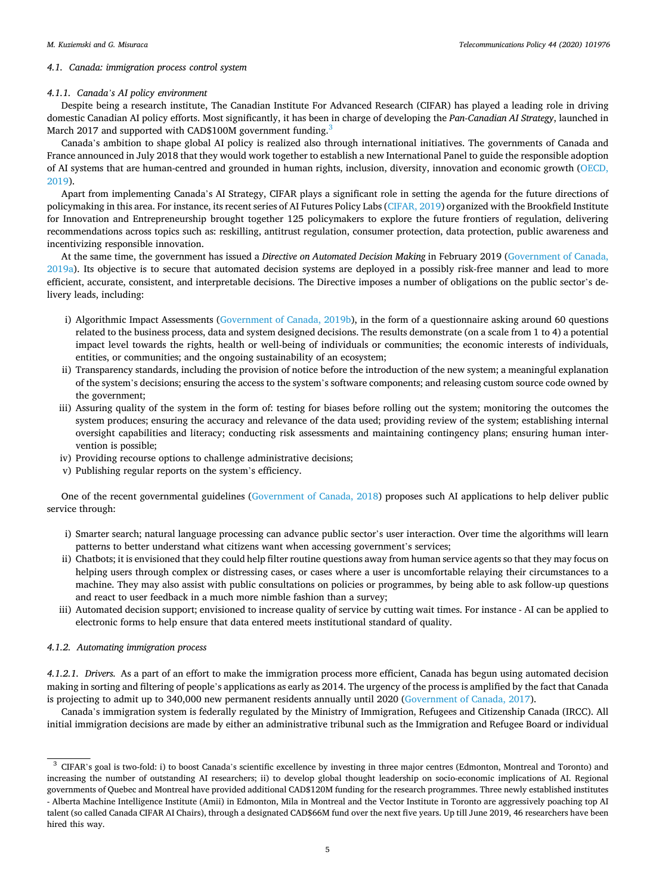### *4.1. Canada: immigration process control system*

#### *4.1.1. Canada's AI policy environment*

Despite being a research institute, The Canadian Institute For Advanced Research (CIFAR) has played a leading role in driving domestic Canadian AI policy efforts. Most significantly, it has been in charge of developing the *Pan-Canadian AI Strategy*, launched in March 2017 and supported with CAD\$100M government funding.<sup>3</sup>

Canada's ambition to shape global AI policy is realized also through international initiatives. The governments of Canada and France announced in July 2018 that they would work together to establish a new International Panel to guide the responsible adoption of AI systems that are human-centred and grounded in human rights, inclusion, diversity, innovation and economic growth ([OECD,](#page-11-0) [2019\)](#page-11-0).

Apart from implementing Canada's AI Strategy, CIFAR plays a significant role in setting the agenda for the future directions of policymaking in this area. For instance, its recent series of AI Futures Policy Labs ([CIFAR, 2019](#page-11-0)) organized with the Brookfield Institute for Innovation and Entrepreneurship brought together 125 policymakers to explore the future frontiers of regulation, delivering recommendations across topics such as: reskilling, antitrust regulation, consumer protection, data protection, public awareness and incentivizing responsible innovation.

At the same time, the government has issued a *Directive on Automated Decision Making* in February 2019 ([Government of Canada,](#page-11-0) [2019a](#page-11-0)). Its objective is to secure that automated decision systems are deployed in a possibly risk-free manner and lead to more efficient, accurate, consistent, and interpretable decisions. The Directive imposes a number of obligations on the public sector's delivery leads, including:

- i) Algorithmic Impact Assessments ([Government of Canada, 2019b](#page-11-0)), in the form of a questionnaire asking around 60 questions related to the business process, data and system designed decisions. The results demonstrate (on a scale from 1 to 4) a potential impact level towards the rights, health or well-being of individuals or communities; the economic interests of individuals, entities, or communities; and the ongoing sustainability of an ecosystem;
- ii) Transparency standards, including the provision of notice before the introduction of the new system; a meaningful explanation of the system's decisions; ensuring the access to the system's software components; and releasing custom source code owned by the government;
- iii) Assuring quality of the system in the form of: testing for biases before rolling out the system; monitoring the outcomes the system produces; ensuring the accuracy and relevance of the data used; providing review of the system; establishing internal oversight capabilities and literacy; conducting risk assessments and maintaining contingency plans; ensuring human intervention is possible;
- iv) Providing recourse options to challenge administrative decisions;
- v) Publishing regular reports on the system's efficiency.

One of the recent governmental guidelines [\(Government of Canada, 2018](#page-11-0)) proposes such AI applications to help deliver public service through:

- i) Smarter search; natural language processing can advance public sector's user interaction. Over time the algorithms will learn patterns to better understand what citizens want when accessing government's services;
- ii) Chatbots; it is envisioned that they could help filter routine questions away from human service agents so that they may focus on helping users through complex or distressing cases, or cases where a user is uncomfortable relaying their circumstances to a machine. They may also assist with public consultations on policies or programmes, by being able to ask follow-up questions and react to user feedback in a much more nimble fashion than a survey;
- iii) Automated decision support; envisioned to increase quality of service by cutting wait times. For instance AI can be applied to electronic forms to help ensure that data entered meets institutional standard of quality.

# *4.1.2. Automating immigration process*

*4.1.2.1. Drivers.* As a part of an effort to make the immigration process more efficient, Canada has begun using automated decision making in sorting and filtering of people's applications as early as 2014. The urgency of the process is amplified by the fact that Canada is projecting to admit up to 340,000 new permanent residents annually until 2020 [\(Government of Canada, 2017](#page-11-0)).

Canada's immigration system is federally regulated by the Ministry of Immigration, Refugees and Citizenship Canada (IRCC). All initial immigration decisions are made by either an administrative tribunal such as the Immigration and Refugee Board or individual

<sup>&</sup>lt;sup>3</sup> CIFAR's goal is two-fold: i) to boost Canada's scientific excellence by investing in three major centres (Edmonton, Montreal and Toronto) and increasing the number of outstanding AI researchers; ii) to develop global thought leadership on socio-economic implications of AI. Regional governments of Quebec and Montreal have provided additional CAD\$120M funding for the research programmes. Three newly established institutes - Alberta Machine Intelligence Institute (Amii) in Edmonton, Mila in Montreal and the Vector Institute in Toronto are aggressively poaching top AI talent (so called Canada CIFAR AI Chairs), through a designated CAD\$66M fund over the next five years. Up till June 2019, 46 researchers have been hired this way.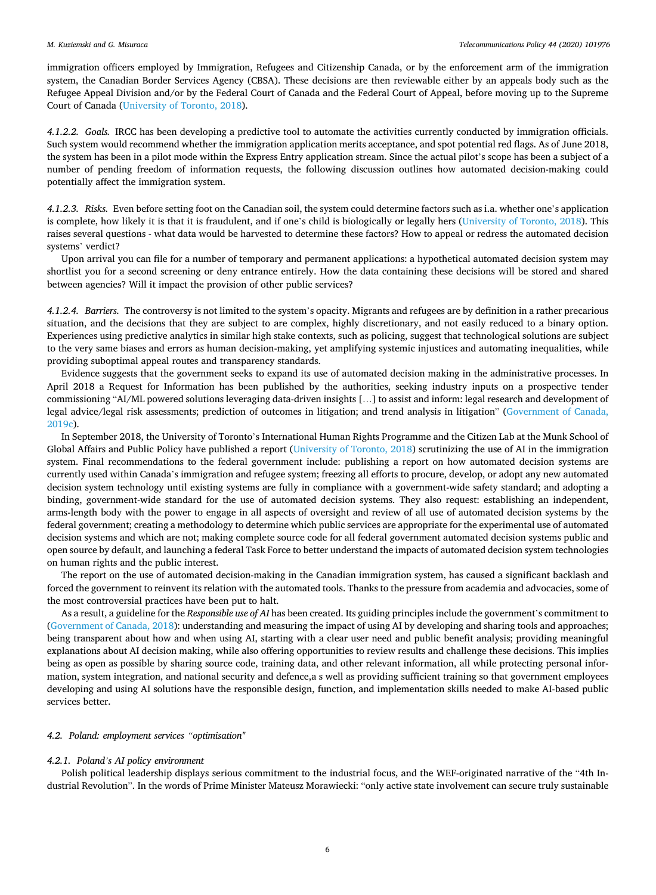immigration officers employed by Immigration, Refugees and Citizenship Canada, or by the enforcement arm of the immigration system, the Canadian Border Services Agency (CBSA). These decisions are then reviewable either by an appeals body such as the Refugee Appeal Division and/or by the Federal Court of Canada and the Federal Court of Appeal, before moving up to the Supreme Court of Canada ([University of Toronto, 2018\)](#page-12-0).

*4.1.2.2. Goals.* IRCC has been developing a predictive tool to automate the activities currently conducted by immigration officials. Such system would recommend whether the immigration application merits acceptance, and spot potential red flags. As of June 2018, the system has been in a pilot mode within the Express Entry application stream. Since the actual pilot's scope has been a subject of a number of pending freedom of information requests, the following discussion outlines how automated decision-making could potentially affect the immigration system.

*4.1.2.3. Risks.* Even before setting foot on the Canadian soil, the system could determine factors such as i.a. whether one's application is complete, how likely it is that it is fraudulent, and if one's child is biologically or legally hers ([University of Toronto, 2018\)](#page-12-0). This raises several questions - what data would be harvested to determine these factors? How to appeal or redress the automated decision systems' verdict?

Upon arrival you can file for a number of temporary and permanent applications: a hypothetical automated decision system may shortlist you for a second screening or deny entrance entirely. How the data containing these decisions will be stored and shared between agencies? Will it impact the provision of other public services?

*4.1.2.4. Barriers.* The controversy is not limited to the system's opacity. Migrants and refugees are by definition in a rather precarious situation, and the decisions that they are subject to are complex, highly discretionary, and not easily reduced to a binary option. Experiences using predictive analytics in similar high stake contexts, such as policing, suggest that technological solutions are subject to the very same biases and errors as human decision-making, yet amplifying systemic injustices and automating inequalities, while providing suboptimal appeal routes and transparency standards.

Evidence suggests that the government seeks to expand its use of automated decision making in the administrative processes. In April 2018 a Request for Information has been published by the authorities, seeking industry inputs on a prospective tender commissioning "AI/ML powered solutions leveraging data-driven insights […] to assist and inform: legal research and development of legal advice/legal risk assessments; prediction of outcomes in litigation; and trend analysis in litigation" [\(Government of Canada,](#page-11-0) [2019c\)](#page-11-0).

In September 2018, the University of Toronto's International Human Rights Programme and the Citizen Lab at the Munk School of Global Affairs and Public Policy have published a report [\(University of Toronto, 2018](#page-12-0)) scrutinizing the use of AI in the immigration system. Final recommendations to the federal government include: publishing a report on how automated decision systems are currently used within Canada's immigration and refugee system; freezing all efforts to procure, develop, or adopt any new automated decision system technology until existing systems are fully in compliance with a government-wide safety standard; and adopting a binding, government-wide standard for the use of automated decision systems. They also request: establishing an independent, arms-length body with the power to engage in all aspects of oversight and review of all use of automated decision systems by the federal government; creating a methodology to determine which public services are appropriate for the experimental use of automated decision systems and which are not; making complete source code for all federal government automated decision systems public and open source by default, and launching a federal Task Force to better understand the impacts of automated decision system technologies on human rights and the public interest.

The report on the use of automated decision-making in the Canadian immigration system, has caused a significant backlash and forced the government to reinvent its relation with the automated tools. Thanks to the pressure from academia and advocacies, some of the most controversial practices have been put to halt.

As a result, a guideline for the *Responsible use of AI* has been created. Its guiding principles include the government's commitment to [\(Government of Canada, 2018](#page-11-0)): understanding and measuring the impact of using AI by developing and sharing tools and approaches; being transparent about how and when using AI, starting with a clear user need and public benefit analysis; providing meaningful explanations about AI decision making, while also offering opportunities to review results and challenge these decisions. This implies being as open as possible by sharing source code, training data, and other relevant information, all while protecting personal information, system integration, and national security and defence,a s well as providing sufficient training so that government employees developing and using AI solutions have the responsible design, function, and implementation skills needed to make AI-based public services better.

## *4.2. Poland: employment services "optimisation"*

#### *4.2.1. Poland's AI policy environment*

Polish political leadership displays serious commitment to the industrial focus, and the WEF-originated narrative of the "4th Industrial Revolution". In the words of Prime Minister Mateusz Morawiecki: "only active state involvement can secure truly sustainable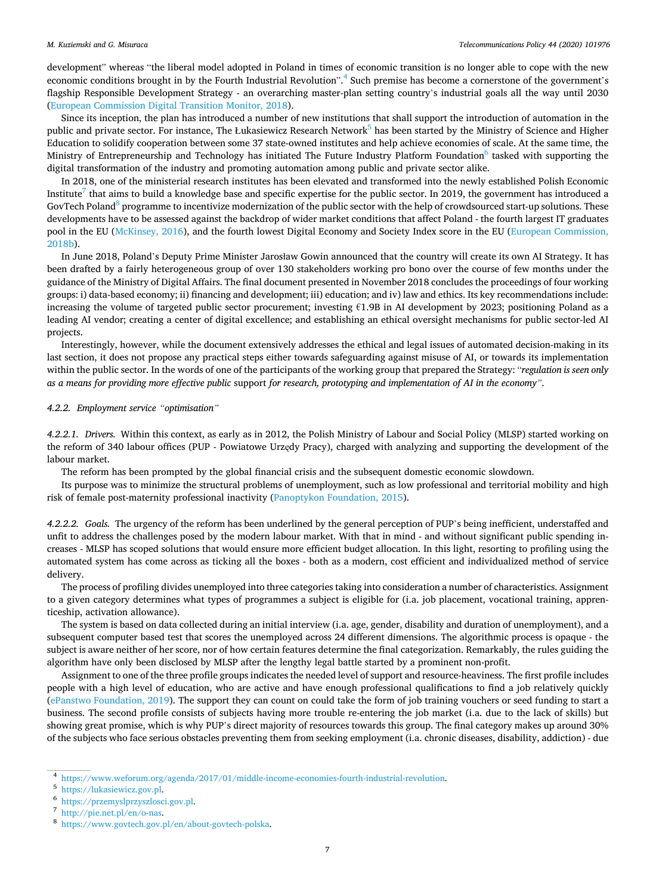development" whereas "the liberal model adopted in Poland in times of economic transition is no longer able to cope with the new economic conditions brought in by the Fourth Industrial Revolution".<sup>4</sup> Such premise has become a cornerstone of the government's flagship Responsible Development Strategy - an overarching master-plan setting country's industrial goals all the way until 2030 [\(European Commission Digital Transition Monitor, 2018\)](#page-11-0).

Since its inception, the plan has introduced a number of new institutions that shall support the introduction of automation in the public and private sector. For instance, The Łukasiewicz Research Network<sup>5</sup> has been started by the Ministry of Science and Higher Education to solidify cooperation between some 37 state-owned institutes and help achieve economies of scale. At the same time, the Ministry of Entrepreneurship and Technology has initiated The Future Industry Platform Foundation<sup>6</sup> tasked with supporting the digital transformation of the industry and promoting automation among public and private sector alike.

In 2018, one of the ministerial research institutes has been elevated and transformed into the newly established Polish Economic Institute<sup>7</sup> that aims to build a knowledge base and specific expertise for the public sector. In 2019, the government has introduced a GovTech Poland<sup>8</sup> programme to incentivize modernization of the public sector with the help of crowdsourced start-up solutions. These developments have to be assessed against the backdrop of wider market conditions that affect Poland - the fourth largest IT graduates pool in the EU ([McKinsey, 2016](#page-11-0)), and the fourth lowest Digital Economy and Society Index score in the EU [\(European Commission,](#page-11-0) [2018b](#page-11-0)).

In June 2018, Poland's Deputy Prime Minister Jarosław Gowin announced that the country will create its own AI Strategy. It has been drafted by a fairly heterogeneous group of over 130 stakeholders working pro bono over the course of few months under the guidance of the Ministry of Digital Affairs. The final document presented in November 2018 concludes the proceedings of four working groups: i) data-based economy; ii) financing and development; iii) education; and iv) law and ethics. Its key recommendations include: increasing the volume of targeted public sector procurement; investing €1.9B in AI development by 2023; positioning Poland as a leading AI vendor; creating a center of digital excellence; and establishing an ethical oversight mechanisms for public sector-led AI projects.

Interestingly, however, while the document extensively addresses the ethical and legal issues of automated decision-making in its last section, it does not propose any practical steps either towards safeguarding against misuse of AI, or towards its implementation within the public sector. In the words of one of the participants of the working group that prepared the Strategy: "*regulation is seen only as a means for providing more effective public* support *for research, prototyping and implementation of AI in the economy".* 

### *4.2.2. Employment service "optimisation"*

*4.2.2.1. Drivers.* Within this context, as early as in 2012, the Polish Ministry of Labour and Social Policy (MLSP) started working on the reform of 340 labour offices (PUP - Powiatowe Urzędy Pracy), charged with analyzing and supporting the development of the labour market.

The reform has been prompted by the global financial crisis and the subsequent domestic economic slowdown.

Its purpose was to minimize the structural problems of unemployment, such as low professional and territorial mobility and high risk of female post-maternity professional inactivity [\(Panoptykon Foundation, 2015\)](#page-11-0).

*4.2.2.2. Goals.* The urgency of the reform has been underlined by the general perception of PUP's being inefficient, understaffed and unfit to address the challenges posed by the modern labour market. With that in mind - and without significant public spending increases - MLSP has scoped solutions that would ensure more efficient budget allocation. In this light, resorting to profiling using the automated system has come across as ticking all the boxes - both as a modern, cost efficient and individualized method of service delivery.

The process of profiling divides unemployed into three categories taking into consideration a number of characteristics. Assignment to a given category determines what types of programmes a subject is eligible for (i.a. job placement, vocational training, apprenticeship, activation allowance).

The system is based on data collected during an initial interview (i.a. age, gender, disability and duration of unemployment), and a subsequent computer based test that scores the unemployed across 24 different dimensions. The algorithmic process is opaque - the subject is aware neither of her score, nor of how certain features determine the final categorization. Remarkably, the rules guiding the algorithm have only been disclosed by MLSP after the lengthy legal battle started by a prominent non-profit.

Assignment to one of the three profile groups indicates the needed level of support and resource-heaviness. The first profile includes people with a high level of education, who are active and have enough professional qualifications to find a job relatively quickly [\(ePanstwo Foundation, 2019\)](#page-11-0). The support they can count on could take the form of job training vouchers or seed funding to start a business. The second profile consists of subjects having more trouble re-entering the job market (i.a. due to the lack of skills) but showing great promise, which is why PUP's direct majority of resources towards this group. The final category makes up around 30% of the subjects who face serious obstacles preventing them from seeking employment (i.a. chronic diseases, disability, addiction) - due

 $^{\rm 4}$ <https://www.weforum.org/agenda/2017/01/middle-income-economies-fourth-industrial-revolution>.<br>  $^{\rm 5}$ <https://lukasiewicz.gov.pl>.<br>  $^{\rm 6}$ https://przemysl<br/>przyszlosci.gov.pl.<br>  $^{\rm 7}$ http://przemysl<br/>przy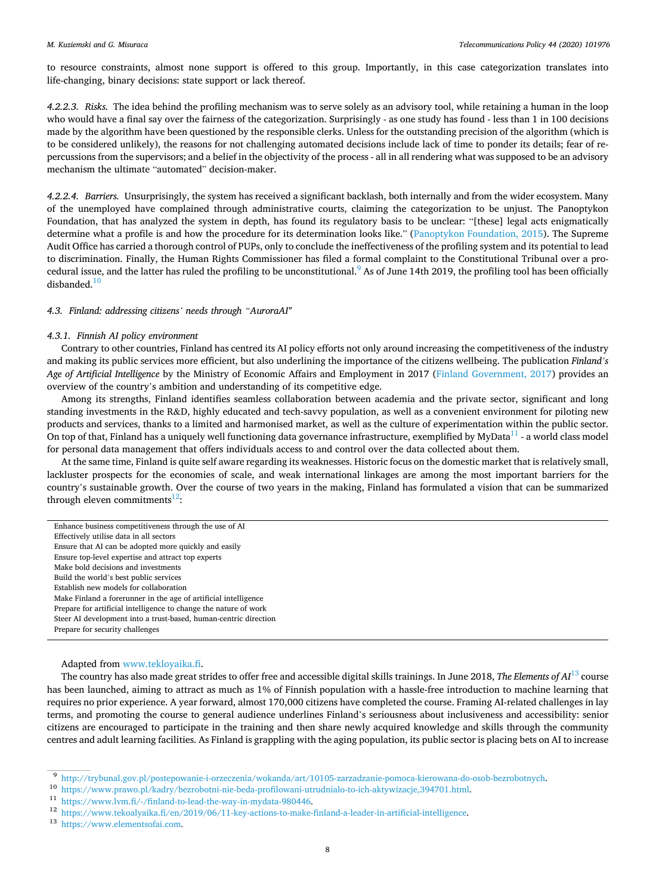to resource constraints, almost none support is offered to this group. Importantly, in this case categorization translates into life-changing, binary decisions: state support or lack thereof.

*4.2.2.3. Risks.* The idea behind the profiling mechanism was to serve solely as an advisory tool, while retaining a human in the loop who would have a final say over the fairness of the categorization. Surprisingly - as one study has found - less than 1 in 100 decisions made by the algorithm have been questioned by the responsible clerks. Unless for the outstanding precision of the algorithm (which is to be considered unlikely), the reasons for not challenging automated decisions include lack of time to ponder its details; fear of repercussions from the supervisors; and a belief in the objectivity of the process - all in all rendering what was supposed to be an advisory mechanism the ultimate "automated" decision-maker.

*4.2.2.4. Barriers.* Unsurprisingly, the system has received a significant backlash, both internally and from the wider ecosystem. Many of the unemployed have complained through administrative courts, claiming the categorization to be unjust. The Panoptykon Foundation, that has analyzed the system in depth, has found its regulatory basis to be unclear: "[these] legal acts enigmatically determine what a profile is and how the procedure for its determination looks like." ([Panoptykon Foundation, 2015\)](#page-11-0). The Supreme Audit Office has carried a thorough control of PUPs, only to conclude the ineffectiveness of the profiling system and its potential to lead to discrimination. Finally, the Human Rights Commissioner has filed a formal complaint to the Constitutional Tribunal over a procedural issue, and the latter has ruled the profiling to be unconstitutional.<sup>9</sup> As of June 14th 2019, the profiling tool has been officially disbanded.<sup>10</sup>

# *4.3. Finland: addressing citizens' needs through "AuroraAI"*

#### *4.3.1. Finnish AI policy environment*

Contrary to other countries, Finland has centred its AI policy efforts not only around increasing the competitiveness of the industry and making its public services more efficient, but also underlining the importance of the citizens wellbeing. The publication *Finland's Age of Artificial Intelligence* by the Ministry of Economic Affairs and Employment in 2017 [\(Finland Government, 2017](#page-11-0)) provides an overview of the country's ambition and understanding of its competitive edge.

Among its strengths, Finland identifies seamless collaboration between academia and the private sector, significant and long standing investments in the R&D, highly educated and tech-savvy population, as well as a convenient environment for piloting new products and services, thanks to a limited and harmonised market, as well as the culture of experimentation within the public sector. On top of that, Finland has a uniquely well functioning data governance infrastructure, exemplified by MyData $11$  - a world class model for personal data management that offers individuals access to and control over the data collected about them.

At the same time, Finland is quite self aware regarding its weaknesses. Historic focus on the domestic market that is relatively small, lackluster prospects for the economies of scale, and weak international linkages are among the most important barriers for the country's sustainable growth. Over the course of two years in the making, Finland has formulated a vision that can be summarized through eleven commitments $12$ :

| Enhance business competitiveness through the use of AI           |
|------------------------------------------------------------------|
| Effectively utilise data in all sectors                          |
| Ensure that AI can be adopted more quickly and easily            |
| Ensure top-level expertise and attract top experts               |
| Make bold decisions and investments                              |
| Build the world's best public services                           |
| Establish new models for collaboration                           |
| Make Finland a forerunner in the age of artificial intelligence  |
| Prepare for artificial intelligence to change the nature of work |
| Steer AI development into a trust-based, human-centric direction |
| Prepare for security challenges                                  |
|                                                                  |

# Adapted from [www.tekloyaika.fi.](http://www.tekloyaika.fi)

The country has also made great strides to offer free and accessible digital skills trainings. In June 2018, *The Elements of AI*13 course has been launched, aiming to attract as much as 1% of Finnish population with a hassle-free introduction to machine learning that requires no prior experience. A year forward, almost 170,000 citizens have completed the course. Framing AI-related challenges in lay terms, and promoting the course to general audience underlines Finland's seriousness about inclusiveness and accessibility: senior citizens are encouraged to participate in the training and then share newly acquired knowledge and skills through the community centres and adult learning facilities. As Finland is grappling with the aging population, its public sector is placing bets on AI to increase

 $^9$ http://trybunal.gov.pl/postepowanie-i-orzeczenia/wokanda/art/10105-zarzadzanie-pomoca-kierowana-do-osob-bezrobotnych $^{10}$ https://www.prawo.pl/kadry/bezrobotni-nie-beda-profilowani-utrudnialo-to-ich-aktywizacje,394701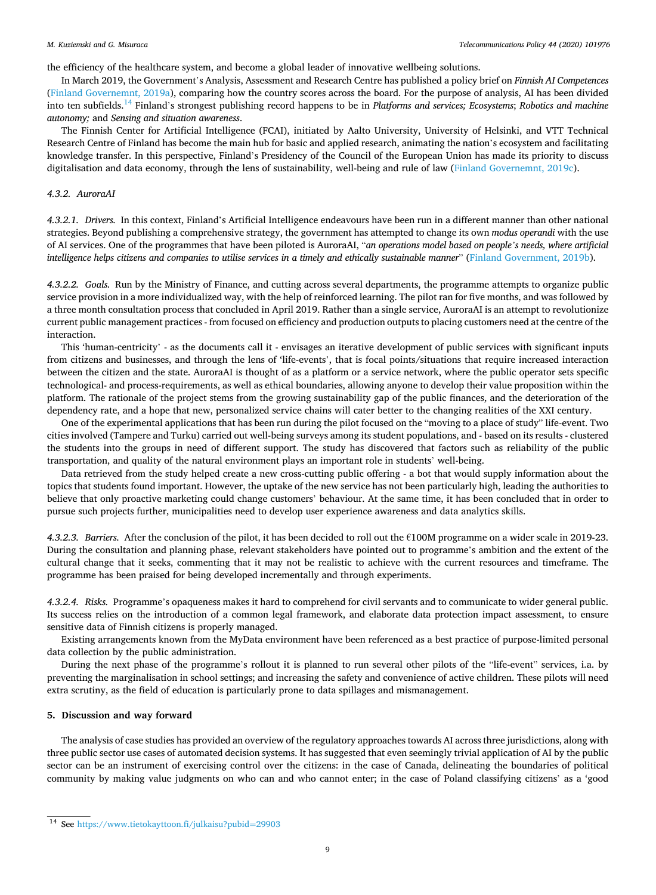the efficiency of the healthcare system, and become a global leader of innovative wellbeing solutions.

In March 2019, the Government's Analysis, Assessment and Research Centre has published a policy brief on *Finnish AI Competences*  [\(Finland Governemnt, 2019a](#page-11-0)), comparing how the country scores across the board. For the purpose of analysis, AI has been divided into ten subfields.14 Finland's strongest publishing record happens to be in *Platforms and services; Ecosystems*; *Robotics and machine autonomy;* and *Sensing and situation awareness*.

The Finnish Center for Artificial Intelligence (FCAI), initiated by Aalto University, University of Helsinki, and VTT Technical Research Centre of Finland has become the main hub for basic and applied research, animating the nation's ecosystem and facilitating knowledge transfer. In this perspective, Finland's Presidency of the Council of the European Union has made its priority to discuss digitalisation and data economy, through the lens of sustainability, well-being and rule of law [\(Finland Governemnt, 2019c](#page-11-0)).

# *4.3.2. AuroraAI*

*4.3.2.1. Drivers.* In this context, Finland's Artificial Intelligence endeavours have been run in a different manner than other national strategies. Beyond publishing a comprehensive strategy, the government has attempted to change its own *modus operandi* with the use of AI services. One of the programmes that have been piloted is AuroraAI, "*an operations model based on people's needs, where artificial intelligence helps citizens and companies to utilise services in a timely and ethically sustainable manner*" ([Finland Government, 2019b\)](#page-11-0).

*4.3.2.2. Goals.* Run by the Ministry of Finance, and cutting across several departments, the programme attempts to organize public service provision in a more individualized way, with the help of reinforced learning. The pilot ran for five months, and was followed by a three month consultation process that concluded in April 2019. Rather than a single service, AuroraAI is an attempt to revolutionize current public management practices - from focused on efficiency and production outputs to placing customers need at the centre of the interaction.

This 'human-centricity' - as the documents call it - envisages an iterative development of public services with significant inputs from citizens and businesses, and through the lens of 'life-events', that is focal points/situations that require increased interaction between the citizen and the state. AuroraAI is thought of as a platform or a service network, where the public operator sets specific technological- and process-requirements, as well as ethical boundaries, allowing anyone to develop their value proposition within the platform. The rationale of the project stems from the growing sustainability gap of the public finances, and the deterioration of the dependency rate, and a hope that new, personalized service chains will cater better to the changing realities of the XXI century.

One of the experimental applications that has been run during the pilot focused on the "moving to a place of study" life-event. Two cities involved (Tampere and Turku) carried out well-being surveys among its student populations, and - based on its results - clustered the students into the groups in need of different support. The study has discovered that factors such as reliability of the public transportation, and quality of the natural environment plays an important role in students' well-being.

Data retrieved from the study helped create a new cross-cutting public offering - a bot that would supply information about the topics that students found important. However, the uptake of the new service has not been particularly high, leading the authorities to believe that only proactive marketing could change customers' behaviour. At the same time, it has been concluded that in order to pursue such projects further, municipalities need to develop user experience awareness and data analytics skills.

*4.3.2.3. Barriers.* After the conclusion of the pilot, it has been decided to roll out the €100M programme on a wider scale in 2019-23. During the consultation and planning phase, relevant stakeholders have pointed out to programme's ambition and the extent of the cultural change that it seeks, commenting that it may not be realistic to achieve with the current resources and timeframe. The programme has been praised for being developed incrementally and through experiments.

*4.3.2.4. Risks.* Programme's opaqueness makes it hard to comprehend for civil servants and to communicate to wider general public. Its success relies on the introduction of a common legal framework, and elaborate data protection impact assessment, to ensure sensitive data of Finnish citizens is properly managed.

Existing arrangements known from the MyData environment have been referenced as a best practice of purpose-limited personal data collection by the public administration.

During the next phase of the programme's rollout it is planned to run several other pilots of the "life-event" services, i.a. by preventing the marginalisation in school settings; and increasing the safety and convenience of active children. These pilots will need extra scrutiny, as the field of education is particularly prone to data spillages and mismanagement.

## **5. Discussion and way forward**

The analysis of case studies has provided an overview of the regulatory approaches towards AI across three jurisdictions, along with three public sector use cases of automated decision systems. It has suggested that even seemingly trivial application of AI by the public sector can be an instrument of exercising control over the citizens: in the case of Canada, delineating the boundaries of political community by making value judgments on who can and who cannot enter; in the case of Poland classifying citizens' as a 'good

<sup>&</sup>lt;sup>14</sup> See [https://www.tietokayttoon.fi/julkaisu?pubid](https://www.tietokayttoon.fi/julkaisu?pubid=29903)=29903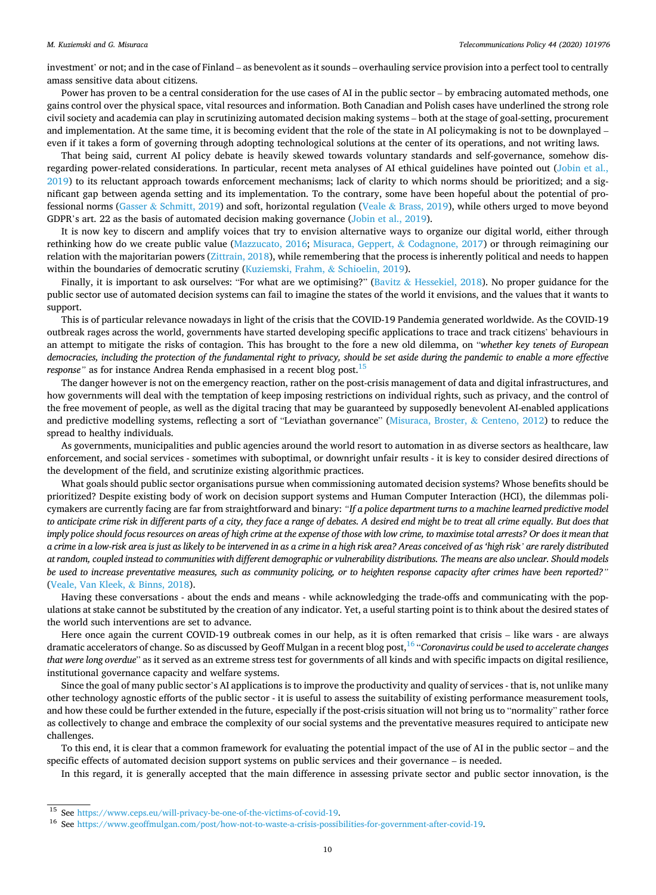investment' or not; and in the case of Finland – as benevolent as it sounds – overhauling service provision into a perfect tool to centrally amass sensitive data about citizens.

Power has proven to be a central consideration for the use cases of AI in the public sector – by embracing automated methods, one gains control over the physical space, vital resources and information. Both Canadian and Polish cases have underlined the strong role civil society and academia can play in scrutinizing automated decision making systems – both at the stage of goal-setting, procurement and implementation. At the same time, it is becoming evident that the role of the state in AI policymaking is not to be downplayed – even if it takes a form of governing through adopting technological solutions at the center of its operations, and not writing laws.

That being said, current AI policy debate is heavily skewed towards voluntary standards and self-governance, somehow dis-regarding power-related considerations. In particular, recent meta analyses of AI ethical guidelines have pointed out ([Jobin et al.,](#page-11-0) [2019\)](#page-11-0) to its reluctant approach towards enforcement mechanisms; lack of clarity to which norms should be prioritized; and a significant gap between agenda setting and its implementation. To the contrary, some have been hopeful about the potential of professional norms (Gasser & [Schmitt, 2019\)](#page-11-0) and soft, horizontal regulation (Veale & [Brass, 2019](#page-12-0)), while others urged to move beyond GDPR's art. 22 as the basis of automated decision making governance ([Jobin et al., 2019](#page-11-0)).

It is now key to discern and amplify voices that try to envision alternative ways to organize our digital world, either through rethinking how do we create public value [\(Mazzucato, 2016](#page-11-0); [Misuraca, Geppert,](#page-11-0) & Codagnone, 2017) or through reimagining our relation with the majoritarian powers ([Zittrain, 2018](#page-12-0)), while remembering that the process is inherently political and needs to happen within the boundaries of democratic scrutiny ([Kuziemski, Frahm,](#page-11-0) & Schioelin, 2019).

Finally, it is important to ask ourselves: "For what are we optimising?" (Bavitz & [Hessekiel, 2018](#page-11-0)). No proper guidance for the public sector use of automated decision systems can fail to imagine the states of the world it envisions, and the values that it wants to support.

This is of particular relevance nowadays in light of the crisis that the COVID-19 Pandemia generated worldwide. As the COVID-19 outbreak rages across the world, governments have started developing specific applications to trace and track citizens' behaviours in an attempt to mitigate the risks of contagion. This has brought to the fore a new old dilemma, on "*whether key tenets of European democracies, including the protection of the fundamental right to privacy, should be set aside during the pandemic to enable a more effective response*<sup>*n*</sup> as for instance Andrea Renda emphasised in a recent blog post.<sup>15</sup>

The danger however is not on the emergency reaction, rather on the post-crisis management of data and digital infrastructures, and how governments will deal with the temptation of keep imposing restrictions on individual rights, such as privacy, and the control of the free movement of people, as well as the digital tracing that may be guaranteed by supposedly benevolent AI-enabled applications and predictive modelling systems, reflecting a sort of "Leviathan governance" ([Misuraca, Broster,](#page-11-0) & Centeno, 2012) to reduce the spread to healthy individuals.

As governments, municipalities and public agencies around the world resort to automation in as diverse sectors as healthcare, law enforcement, and social services - sometimes with suboptimal, or downright unfair results - it is key to consider desired directions of the development of the field, and scrutinize existing algorithmic practices.

What goals should public sector organisations pursue when commissioning automated decision systems? Whose benefits should be prioritized? Despite existing body of work on decision support systems and Human Computer Interaction (HCI), the dilemmas policymakers are currently facing are far from straightforward and binary: *"If a police department turns to a machine learned predictive model*  to anticipate crime risk in different parts of a city, they face a range of debates. A desired end might be to treat all crime equally. But does that *imply police should focus resources on areas of high crime at the expense of those with low crime, to maximise total arrests? Or does it mean that a crime in a low-risk area is just as likely to be intervened in as a crime in a high risk area? Areas conceived of as 'high risk' are rarely distributed at random, coupled instead to communities with different demographic or vulnerability distributions. The means are also unclear. Should models be used to increase preventative measures, such as community policing, or to heighten response capacity after crimes have been reported?"*  [\(Veale, Van Kleek,](#page-12-0) & Binns, 2018).

Having these conversations - about the ends and means - while acknowledging the trade-offs and communicating with the populations at stake cannot be substituted by the creation of any indicator. Yet, a useful starting point is to think about the desired states of the world such interventions are set to advance.

Here once again the current COVID-19 outbreak comes in our help, as it is often remarked that crisis – like wars - are always dramatic accelerators of change. So as discussed by Geoff Mulgan in a recent blog post,16 "*Coronavirus could be used to accelerate changes that were long overdue*" as it served as an extreme stress test for governments of all kinds and with specific impacts on digital resilience, institutional governance capacity and welfare systems.

Since the goal of many public sector's AI applications is to improve the productivity and quality of services - that is, not unlike many other technology agnostic efforts of the public sector - it is useful to assess the suitability of existing performance measurement tools, and how these could be further extended in the future, especially if the post-crisis situation will not bring us to "normality" rather force as collectively to change and embrace the complexity of our social systems and the preventative measures required to anticipate new challenges.

To this end, it is clear that a common framework for evaluating the potential impact of the use of AI in the public sector – and the specific effects of automated decision support systems on public services and their governance – is needed.

In this regard, it is generally accepted that the main difference in assessing private sector and public sector innovation, is the

<sup>15</sup> See [https://www.ceps.eu/will-privacy-be-one-of-the-victims-of-covid-19.](https://www.ceps.eu/will-privacy-be-one-of-the-victims-of-covid-19) 16 See <https://www.geoffmulgan.com/post/how-not-to-waste-a-crisis-possibilities-for-government-after-covid-19>.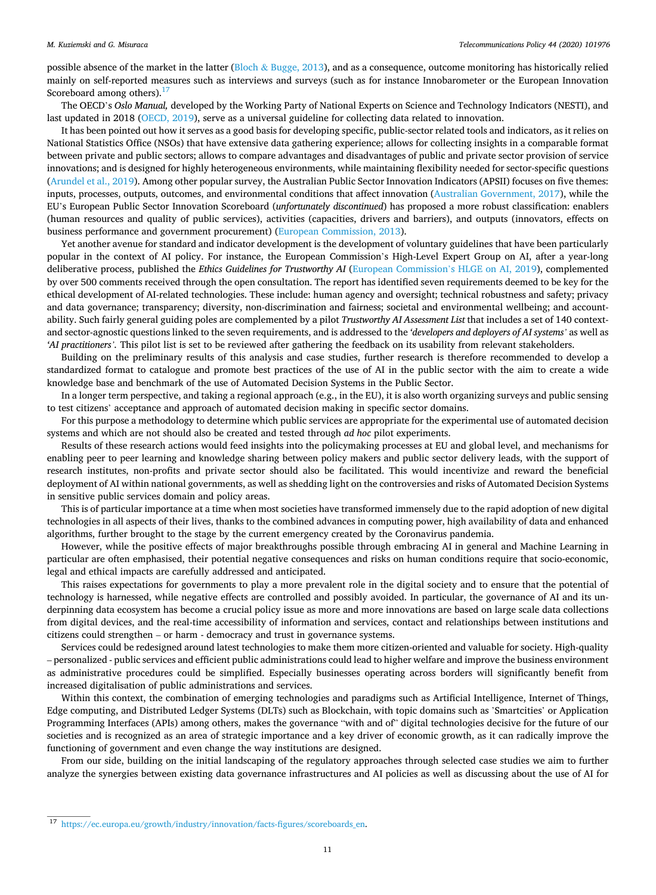possible absence of the market in the latter (Bloch & [Bugge, 2013\)](#page-11-0), and as a consequence, outcome monitoring has historically relied mainly on self-reported measures such as interviews and surveys (such as for instance Innobarometer or the European Innovation Scoreboard among others). $17$ 

The OECD's *Oslo Manual,* developed by the Working Party of National Experts on Science and Technology Indicators (NESTI), and last updated in 2018 [\(OECD, 2019\)](#page-11-0), serve as a universal guideline for collecting data related to innovation.

It has been pointed out how it serves as a good basis for developing specific, public-sector related tools and indicators, as it relies on National Statistics Office (NSOs) that have extensive data gathering experience; allows for collecting insights in a comparable format between private and public sectors; allows to compare advantages and disadvantages of public and private sector provision of service innovations; and is designed for highly heterogeneous environments, while maintaining flexibility needed for sector-specific questions [\(Arundel et al., 2019](#page-11-0)). Among other popular survey, the Australian Public Sector Innovation Indicators (APSII) focuses on five themes: inputs, processes, outputs, outcomes, and environmental conditions that affect innovation [\(Australian Government, 2017\)](#page-11-0), while the EU's European Public Sector Innovation Scoreboard (*unfortunately discontinued*) has proposed a more robust classification: enablers (human resources and quality of public services), activities (capacities, drivers and barriers), and outputs (innovators, effects on business performance and government procurement) [\(European Commission, 2013\)](#page-11-0).

Yet another avenue for standard and indicator development is the development of voluntary guidelines that have been particularly popular in the context of AI policy. For instance, the European Commission's High-Level Expert Group on AI, after a year-long deliberative process, published the *Ethics Guidelines for Trustworthy AI* ([European Commission](#page-11-0)'s HLGE on AI, 2019), complemented by over 500 comments received through the open consultation. The report has identified seven requirements deemed to be key for the ethical development of AI-related technologies. These include: human agency and oversight; technical robustness and safety; privacy and data governance; transparency; diversity, non-discrimination and fairness; societal and environmental wellbeing; and accountability. Such fairly general guiding poles are complemented by a pilot *Trustworthy AI Assessment List* that includes a set of 140 contextand sector-agnostic questions linked to the seven requirements, and is addressed to the *'developers and deployers of AI systems'* as well as *'AI practitioners'.* This pilot list is set to be reviewed after gathering the feedback on its usability from relevant stakeholders.

Building on the preliminary results of this analysis and case studies, further research is therefore recommended to develop a standardized format to catalogue and promote best practices of the use of AI in the public sector with the aim to create a wide knowledge base and benchmark of the use of Automated Decision Systems in the Public Sector.

In a longer term perspective, and taking a regional approach (e.g., in the EU), it is also worth organizing surveys and public sensing to test citizens' acceptance and approach of automated decision making in specific sector domains.

For this purpose a methodology to determine which public services are appropriate for the experimental use of automated decision systems and which are not should also be created and tested through *ad hoc* pilot experiments.

Results of these research actions would feed insights into the policymaking processes at EU and global level, and mechanisms for enabling peer to peer learning and knowledge sharing between policy makers and public sector delivery leads, with the support of research institutes, non-profits and private sector should also be facilitated. This would incentivize and reward the beneficial deployment of AI within national governments, as well as shedding light on the controversies and risks of Automated Decision Systems in sensitive public services domain and policy areas.

This is of particular importance at a time when most societies have transformed immensely due to the rapid adoption of new digital technologies in all aspects of their lives, thanks to the combined advances in computing power, high availability of data and enhanced algorithms, further brought to the stage by the current emergency created by the Coronavirus pandemia.

However, while the positive effects of major breakthroughs possible through embracing AI in general and Machine Learning in particular are often emphasised, their potential negative consequences and risks on human conditions require that socio-economic, legal and ethical impacts are carefully addressed and anticipated.

This raises expectations for governments to play a more prevalent role in the digital society and to ensure that the potential of technology is harnessed, while negative effects are controlled and possibly avoided. In particular, the governance of AI and its underpinning data ecosystem has become a crucial policy issue as more and more innovations are based on large scale data collections from digital devices, and the real-time accessibility of information and services, contact and relationships between institutions and citizens could strengthen – or harm - democracy and trust in governance systems.

Services could be redesigned around latest technologies to make them more citizen-oriented and valuable for society. High-quality – personalized - public services and efficient public administrations could lead to higher welfare and improve the business environment as administrative procedures could be simplified. Especially businesses operating across borders will significantly benefit from increased digitalisation of public administrations and services.

Within this context, the combination of emerging technologies and paradigms such as Artificial Intelligence, Internet of Things, Edge computing, and Distributed Ledger Systems (DLTs) such as Blockchain, with topic domains such as 'Smartcities' or Application Programming Interfaces (APIs) among others, makes the governance "with and of" digital technologies decisive for the future of our societies and is recognized as an area of strategic importance and a key driver of economic growth, as it can radically improve the functioning of government and even change the way institutions are designed.

From our side, building on the initial landscaping of the regulatory approaches through selected case studies we aim to further analyze the synergies between existing data governance infrastructures and AI policies as well as discussing about the use of AI for

<sup>&</sup>lt;sup>17</sup> https://ec.europa.eu/growth/industry/innovation/facts-figures/scoreboards en.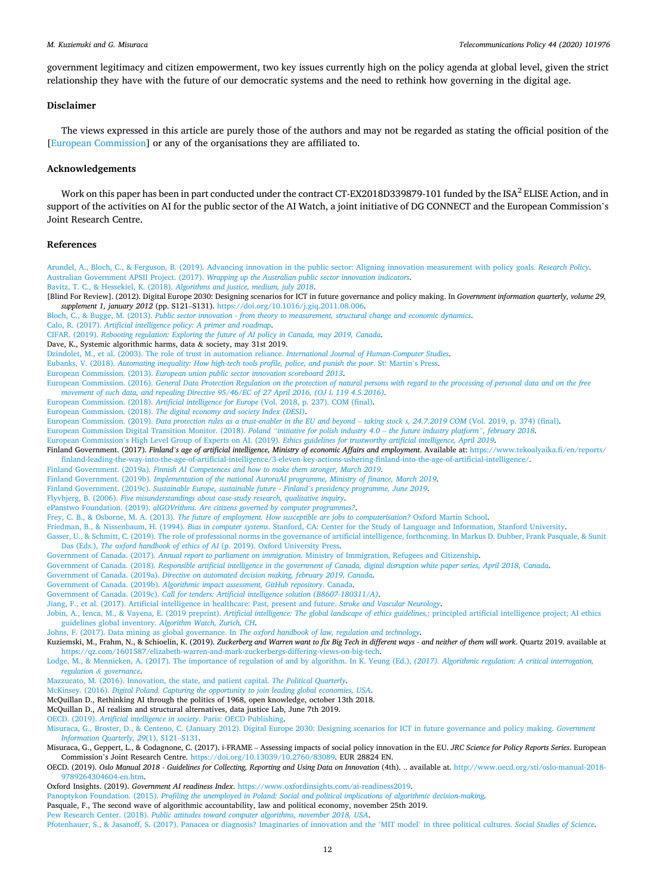<span id="page-11-0"></span>government legitimacy and citizen empowerment, two key issues currently high on the policy agenda at global level, given the strict relationship they have with the future of our democratic systems and the need to rethink how governing in the digital age.

# **Disclaimer**

The views expressed in this article are purely those of the authors and may not be regarded as stating the official position of the [European Commission] or any of the organisations they are affiliated to.

#### **Acknowledgements**

Work on this paper has been in part conducted under the contract CT-EX2018D339879-101 funded by the ISA<sup>2</sup> ELISE Action, and in support of the activities on AI for the public sector of the AI Watch, a joint initiative of DG CONNECT and the European Commission's Joint Research Centre.

## **References**

[Arundel, A., Bloch, C., & Ferguson, B. \(2019\). Advancing innovation in the public sector: Aligning innovation measurement with policy goals.](http://refhub.elsevier.com/S0308-5961(20)30068-9/sref1) *Research Policy*. Australian Government APSII Project. (2017). *[Wrapping up the Australian public sector innovation indicators](http://refhub.elsevier.com/S0308-5961(20)30068-9/sref2)*. Bavitz, T. C., & Hessekiel, K. (2018). *[Algorithms and justice, medium, july 2018](http://refhub.elsevier.com/S0308-5961(20)30068-9/sref3)*. [Blind For Review]. (2012). Digital Europe 2030: Designing scenarios for ICT in future governance and policy making. In *Government information quarterly, volume 29, supplement 1, january 2012* (pp. S121–S131).<https://doi.org/10.1016/j.giq.2011.08.006>. Bloch, C., & Bugge, M. (2013). *[Public sector innovation - from theory to measurement, structural change and economic dynamics](http://refhub.elsevier.com/S0308-5961(20)30068-9/sref6)*. Calo, R. (2017). *[Artificial intelligence policy: A primer and roadmap](http://refhub.elsevier.com/S0308-5961(20)30068-9/sref7)*. CIFAR. (2019). *[Rebooting regulation: Exploring the future of AI policy in Canada, may 2019, Canada](http://refhub.elsevier.com/S0308-5961(20)30068-9/sref8)*. Dave, K., Systemic algorithmic harms, data & society, may 31st 2019. [Dzindolet, M., et al. \(2003\). The role of trust in automation reliance.](http://refhub.elsevier.com/S0308-5961(20)30068-9/sref10) *International Journal of Human-Computer Studies*. Eubanks, V. (2018). *[Automating inequality: How high-tech tools profile, police, and punish the poor](http://refhub.elsevier.com/S0308-5961(20)30068-9/sref11)*. St: Martin's Press. European Commission. (2013). *[European union public sector innovation scoreboard 2013](http://refhub.elsevier.com/S0308-5961(20)30068-9/sref12)*. European Commission. (2016). *[General Data Protection Regulation on the protection of natural persons with regard to the processing of personal data and on the free](http://refhub.elsevier.com/S0308-5961(20)30068-9/sref13)  [movement of such data, and repealing Directive 95/46/EC of 27 April 2016, \(OJ L 119 4.5.2016\)](http://refhub.elsevier.com/S0308-5961(20)30068-9/sref13)*. European Commission. (2018). *Artificial intelligence for Europe* [\(Vol. 2018, p. 237\). COM \(final\)](http://refhub.elsevier.com/S0308-5961(20)30068-9/sref14). European Commission. (2018). *[The digital economy and society Index \(DESI\)](http://refhub.elsevier.com/S0308-5961(20)30068-9/sref15)*. European Commission. (2019). *[Data protection rules as a trust-enabler in the EU and beyond](http://refhub.elsevier.com/S0308-5961(20)30068-9/sref16) – taking stock s, 24.7.2019 COM (Vol. 2019, p. 374) (final).* [European Commission Digital Transition Monitor. \(2018\).](http://refhub.elsevier.com/S0308-5961(20)30068-9/sref17) *Poland "initiative for polish industry 4.0* – *the future industry platform", february 2018*. European Commission's High Level Group of Experts on AI. (2019). *[Ethics guidelines for trustworthy artificial intelligence, April 2019](http://refhub.elsevier.com/S0308-5961(20)30068-9/sref18)*. Finland Government. (2017). *Finland's age of artificial intelligence, Ministry of economic Affairs and employment*. Available at: [https://www.tekoalyaika.fi/en/reports/](https://www.tekoalyaika.fi/en/reports/finland-leading-the-way-into-the-age-of-artificial-intelligence/3-eleven-key-actions-ushering-finland-into-the-age-of-artificial-intelligence/) [finland-leading-the-way-into-the-age-of-artificial-intelligence/3-eleven-key-actions-ushering-finland-into-the-age-of-artificial-intelligence/](https://www.tekoalyaika.fi/en/reports/finland-leading-the-way-into-the-age-of-artificial-intelligence/3-eleven-key-actions-ushering-finland-into-the-age-of-artificial-intelligence/). Finland Government. (2019a). *[Finnish AI Competences and how to make them stronger, March 2019](http://refhub.elsevier.com/S0308-5961(20)30068-9/sref20)*. Finland Government. (2019b). *[Implementation of the national AuroraAI programme, Ministry of finance, March 2019](http://refhub.elsevier.com/S0308-5961(20)30068-9/sref21)*. Finland Government. (2019c). *[Sustainable Europe, sustainable future - Finland](http://refhub.elsevier.com/S0308-5961(20)30068-9/sref22)'s presidency programme, June 2019*. Flyvbjerg, B. (2006). *[Five misunderstandings about case-study research, qualitative inquiry](http://refhub.elsevier.com/S0308-5961(20)30068-9/sref23)*. ePanstwo Foundation. (2019). *[alGOVrithms. Are citizens governed by computer programmes?](http://refhub.elsevier.com/S0308-5961(20)30068-9/sref24)*. Frey, C. B., & Osborne, M. A. (2013). *[The future of employment. How susceptible are jobs to computerisation?](http://refhub.elsevier.com/S0308-5961(20)30068-9/sref25)* Oxford Martin School. Friedman, B., & Nissenbaum, H. (1994). *Bias in computer systems*[. Stanford, CA: Center for the Study of Language and Information, Stanford University.](http://refhub.elsevier.com/S0308-5961(20)30068-9/sref26) [Gasser, U., & Schmitt, C. \(2019\). The role of professional norms in the governance of artificial intelligence, forthcoming. In Markus D. Dubber, Frank Pasquale, & Sunit](http://refhub.elsevier.com/S0308-5961(20)30068-9/sref27) Das (Eds.), *[The oxford handbook of ethics of AI](http://refhub.elsevier.com/S0308-5961(20)30068-9/sref27)* (p. 2019). Oxford University Press. Government of Canada. (2017). *Annual report to parliament on immigration*[. Ministry of Immigration, Refugees and Citizenship](http://refhub.elsevier.com/S0308-5961(20)30068-9/sref28). Government of Canada. (2018). *[Responsible artificial intelligence in the government of Canada, digital disruption white paper series, April 2018, Canada](http://refhub.elsevier.com/S0308-5961(20)30068-9/sref29)*. Government of Canada. (2019a). *[Directive on automated decision making, february 2019, Canada](http://refhub.elsevier.com/S0308-5961(20)30068-9/sref30)*. Government of Canada. (2019b). *[Algorithmic impact assessment, GitHub repository](http://refhub.elsevier.com/S0308-5961(20)30068-9/sref31)*. Canada. Government of Canada. (2019c). *[Call for tenders: Artificial intelligence solution \(B8607-180311/A\)](http://refhub.elsevier.com/S0308-5961(20)30068-9/sref32)*. [Jiang, F., et al. \(2017\). Artificial intelligence in healthcare: Past, present and future.](http://refhub.elsevier.com/S0308-5961(20)30068-9/sref33) *Stroke and Vascular Neurology*. Jobin, A., Ienca, M., & Vayena, E. (2019 preprint). *[Artificial intelligence: The global landscape of ethics guidelines,](http://refhub.elsevier.com/S0308-5961(20)30068-9/sref34)*; principled artificial intelligence project; AI ethics [guidelines global inventory.](http://refhub.elsevier.com/S0308-5961(20)30068-9/sref34) *Algorithm Watch, Zurich, CH*. [Johns, F. \(2017\). Data mining as global governance. In](http://refhub.elsevier.com/S0308-5961(20)30068-9/sref35) *The oxford handbook of law, regulation and technology*. Kuziemski, M., Frahm, N., & Schioelin, K. (2019). *Zuckerberg and Warren want to fix Big Tech in different ways - and neither of them will work*. Quartz 2019. available at <https://qz.com/1601587/elizabeth-warren-and-mark-zuckerbergs-differing-views-on-big-tech>. [Lodge, M., & Mennicken, A. \(2017\). The importance of regulation of and by algorithm. In K. Yeung \(Ed.\),](http://refhub.elsevier.com/S0308-5961(20)30068-9/sref36) *(2017). Algorithmic regulation: A critical interrogation, regulation & [governance](http://refhub.elsevier.com/S0308-5961(20)30068-9/sref36)*. [Mazzucato, M. \(2016\). Innovation, the state, and patient capital.](http://refhub.elsevier.com/S0308-5961(20)30068-9/sref37) *The Political Quarterly*. McKinsey. (2016). *Digital Poland. Capturing the opportunity to join leading global economies*, USA. McQuillan D., Rethinking AI through the politics of 1968, open knowledge, october 13th 2018. McQuillan D., AI realism and structural alternatives, data justice Lab, June 7th 2019. OECD. (2019). *[Artificial intelligence in society](http://refhub.elsevier.com/S0308-5961(20)30068-9/sref41)*. Paris: OECD Publishing. [Misuraca, G., Broster, D., & Centeno, C. \(January 2012\). Digital Europe 2030: Designing scenarios for ICT in future governance and policy making.](http://refhub.elsevier.com/S0308-5961(20)30068-9/opt3BQrrmat1P) *Government [Information Quarterly, 29](http://refhub.elsevier.com/S0308-5961(20)30068-9/opt3BQrrmat1P)*(1), S121–S131. Misuraca, G., Geppert, L., & Codagnone, C. (2017). i-FRAME – Assessing impacts of social policy innovation in the EU. *JRC Science for Policy Reports Series*. European Commission's Joint Research Centre.<https://doi.org/10.13039/10.2760/83089>. EUR 28824 EN. OECD. (2019). Oslo Manual 2018 - Guidelines for Collecting, Reporting and Using Data on Innovation (4th). .. available at. [http://www.oecd.org/sti/oslo-manual-2018-](http://www.oecd.org/sti/oslo-manual-2018-9789264304604-en.htm) [9789264304604-en.htm](http://www.oecd.org/sti/oslo-manual-2018-9789264304604-en.htm). Oxford Insights. (2019). *Government AI readiness Index*. [https://www.oxfordinsights.com/ai-readiness2019.](https://www.oxfordinsights.com/ai-readiness2019)

Panoptykon Foundation. (2015). *[Profiling the unemployed in Poland: Social and political implications of algorithmic decision-making](http://refhub.elsevier.com/S0308-5961(20)30068-9/sref43)*.

Pasquale, F., The second wave of algorithmic accountability, law and political economy, november 25th 2019.

Pew Research Center. (2018). *[Public attitudes toward computer algorithms, november 2018, USA](http://refhub.elsevier.com/S0308-5961(20)30068-9/sref45)*.

[Pfotenhauer, S., & Jasanoff, S. \(2017\). Panacea or diagnosis? Imaginaries of innovation and the](http://refhub.elsevier.com/S0308-5961(20)30068-9/sref46) 'MIT model' in three political cultures. *Social Studies of Science*.